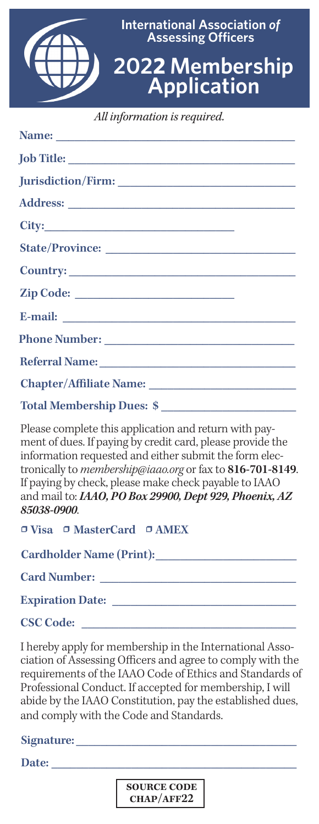

*All information is required.*

| Total Membership Dues: \$ |
|---------------------------|

Please complete this application and return with payment of dues. If paying by credit card, please provide the information requested and either submit the form electronically to *membership@iaao.org* or fax to **816-701-8149**. If paying by check, please make check payable to IAAO and mail to: *IAAO, PO Box 29900, Dept 929, Phoenix, AZ 85038-0900*.

• **Visa** • **MasterCard** • **AMEX**

**Cardholder Name (Print):\_\_\_\_\_\_\_\_\_\_\_\_\_\_\_\_\_\_\_\_\_\_\_**

 $Card$  Number:

**Expiration Date: \_\_\_\_\_\_\_\_\_\_\_\_\_\_\_\_\_\_\_\_\_\_\_\_\_\_\_\_\_\_**

**CSC Code: \_\_\_\_\_\_\_\_\_\_\_\_\_\_\_\_\_\_\_\_\_\_\_\_\_\_\_\_\_\_\_\_\_\_\_**

I hereby apply for membership in the International Association of Assessing Officers and agree to comply with the requirements of the IAAO Code of Ethics and Standards of Professional Conduct. If accepted for membership, I will abide by the IAAO Constitution, pay the established dues, and comply with the Code and Standards.

**Signature: \_\_\_\_\_\_\_\_\_\_\_\_\_\_\_\_\_\_\_\_\_\_\_\_\_\_\_\_\_\_\_\_\_\_\_\_**

**Date: \_\_\_\_\_\_\_\_\_\_\_\_\_\_\_\_\_\_\_\_\_\_\_\_\_\_\_\_\_\_\_\_\_\_\_\_\_\_\_\_**

**Source Code Chap/Aff22**